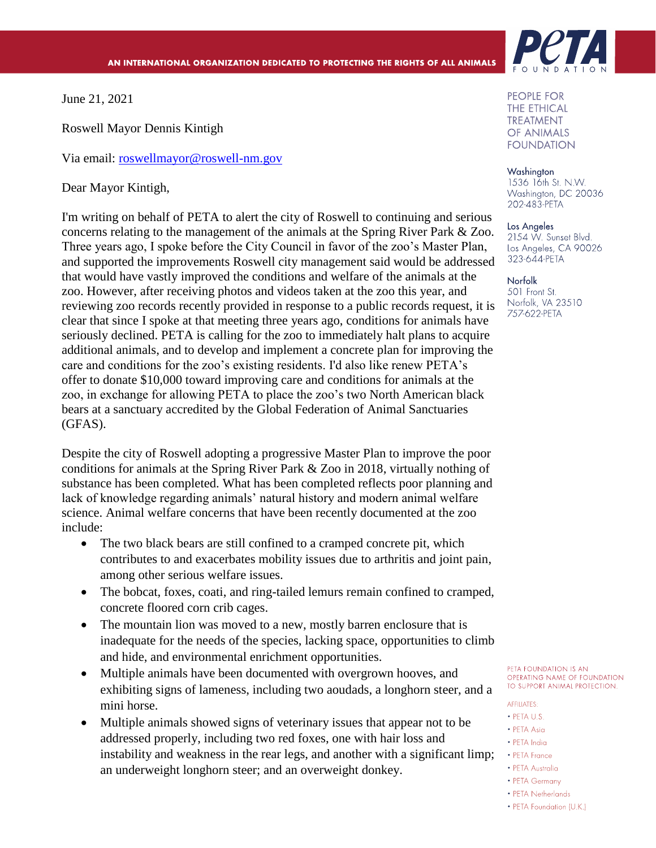June 21, 2021

Roswell Mayor Dennis Kintigh

Via email: [roswellmayor@roswell-nm.gov](mailto:roswellmayor@roswell-nm.gov)

Dear Mayor Kintigh,

I'm writing on behalf of PETA to alert the city of Roswell to continuing and serious concerns relating to the management of the animals at the Spring River Park & Zoo. Three years ago, I spoke before the City Council in favor of the zoo's Master Plan, and supported the improvements Roswell city management said would be addressed that would have vastly improved the conditions and welfare of the animals at the zoo. However, after receiving photos and videos taken at the zoo this year, and reviewing zoo records recently provided in response to a public records request, it is clear that since I spoke at that meeting three years ago, conditions for animals have seriously declined. PETA is calling for the zoo to immediately halt plans to acquire additional animals, and to develop and implement a concrete plan for improving the care and conditions for the zoo's existing residents. I'd also like renew PETA's offer to donate \$10,000 toward improving care and conditions for animals at the zoo, in exchange for allowing PETA to place the zoo's two North American black bears at a sanctuary accredited by the Global Federation of Animal Sanctuaries (GFAS).

Despite the city of Roswell adopting a progressive Master Plan to improve the poor conditions for animals at the Spring River Park & Zoo in 2018, virtually nothing of substance has been completed. What has been completed reflects poor planning and lack of knowledge regarding animals' natural history and modern animal welfare science. Animal welfare concerns that have been recently documented at the zoo include:

- The two black bears are still confined to a cramped concrete pit, which contributes to and exacerbates mobility issues due to arthritis and joint pain, among other serious welfare issues.
- The bobcat, foxes, coati, and ring-tailed lemurs remain confined to cramped, concrete floored corn crib cages.
- The mountain lion was moved to a new, mostly barren enclosure that is inadequate for the needs of the species, lacking space, opportunities to climb and hide, and environmental enrichment opportunities.
- Multiple animals have been documented with overgrown hooves, and exhibiting signs of lameness, including two aoudads, a longhorn steer, and a mini horse.
- Multiple animals showed signs of veterinary issues that appear not to be addressed properly, including two red foxes, one with hair loss and instability and weakness in the rear legs, and another with a significant limp; an underweight longhorn steer; and an overweight donkey.



**PEOPLE FOR THE ETHICAL TREATMENT OF ANIMALS FOUNDATION** 

Washington 1536 16th St. N.W. Washington, DC 20036 202-483-PETA

## Los Angeles 2154 W. Sunset Blvd. Los Angeles, CA 90026 323-644-PETA

**Norfolk** 501 Front St. Norfolk, VA 23510 757-622-PETA

PETA FOUNDATION IS AN OPERATING NAME OF FOUNDATION TO SUPPORT ANIMAL PROTECTION.

## **AFFILIATES:**

- · PFTA U.S.
- PETA Asia
- PETA India
- PETA France
- PETA Australia
- PETA Germany
- PETA Netherlands
- PETA Foundation (U.K.)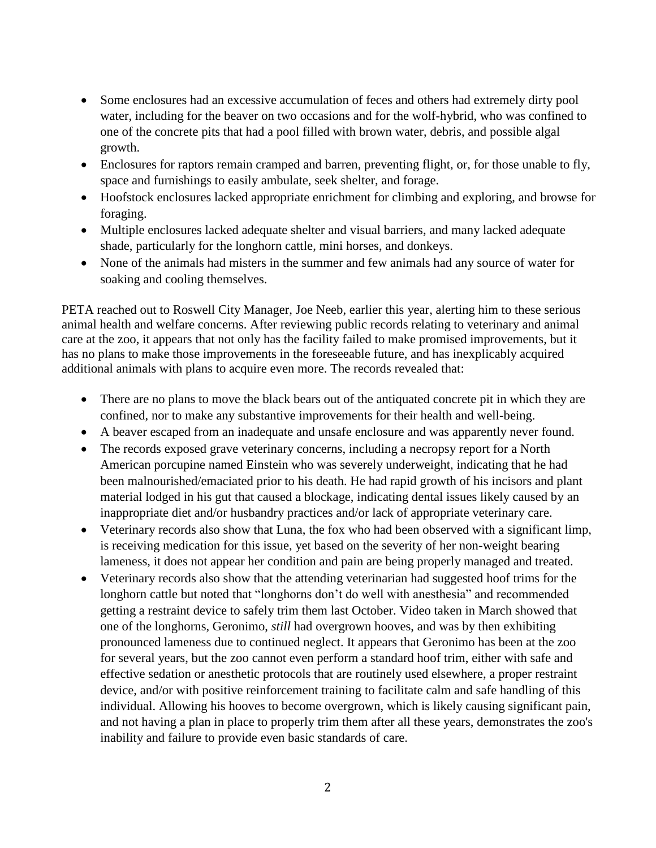- Some enclosures had an excessive accumulation of feces and others had extremely dirty pool water, including for the beaver on two occasions and for the wolf-hybrid, who was confined to one of the concrete pits that had a pool filled with brown water, debris, and possible algal growth.
- Enclosures for raptors remain cramped and barren, preventing flight, or, for those unable to fly, space and furnishings to easily ambulate, seek shelter, and forage.
- Hoofstock enclosures lacked appropriate enrichment for climbing and exploring, and browse for foraging.
- Multiple enclosures lacked adequate shelter and visual barriers, and many lacked adequate shade, particularly for the longhorn cattle, mini horses, and donkeys.
- None of the animals had misters in the summer and few animals had any source of water for soaking and cooling themselves.

PETA reached out to Roswell City Manager, Joe Neeb, earlier this year, alerting him to these serious animal health and welfare concerns. After reviewing public records relating to veterinary and animal care at the zoo, it appears that not only has the facility failed to make promised improvements, but it has no plans to make those improvements in the foreseeable future, and has inexplicably acquired additional animals with plans to acquire even more. The records revealed that:

- There are no plans to move the black bears out of the antiquated concrete pit in which they are confined, nor to make any substantive improvements for their health and well-being.
- A beaver escaped from an inadequate and unsafe enclosure and was apparently never found.
- The records exposed grave veterinary concerns, including a necropsy report for a North American porcupine named Einstein who was severely underweight, indicating that he had been malnourished/emaciated prior to his death. He had rapid growth of his incisors and plant material lodged in his gut that caused a blockage, indicating dental issues likely caused by an inappropriate diet and/or husbandry practices and/or lack of appropriate veterinary care.
- Veterinary records also show that Luna, the fox who had been observed with a significant limp, is receiving medication for this issue, yet based on the severity of her non-weight bearing lameness, it does not appear her condition and pain are being properly managed and treated.
- Veterinary records also show that the attending veterinarian had suggested hoof trims for the longhorn cattle but noted that "longhorns don't do well with anesthesia" and recommended getting a restraint device to safely trim them last October. Video taken in March showed that one of the longhorns, Geronimo, *still* had overgrown hooves, and was by then exhibiting pronounced lameness due to continued neglect. It appears that Geronimo has been at the zoo for several years, but the zoo cannot even perform a standard hoof trim, either with safe and effective sedation or anesthetic protocols that are routinely used elsewhere, a proper restraint device, and/or with positive reinforcement training to facilitate calm and safe handling of this individual. Allowing his hooves to become overgrown, which is likely causing significant pain, and not having a plan in place to properly trim them after all these years, demonstrates the zoo's inability and failure to provide even basic standards of care.